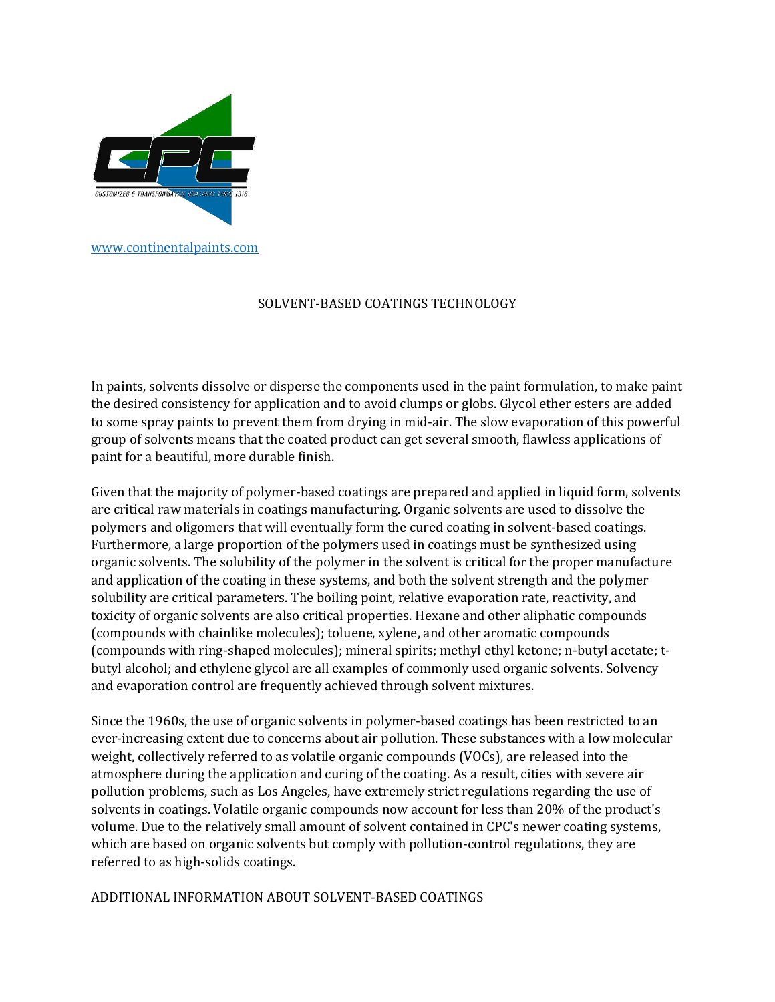

## SOLVENT-BASED COATINGS TECHNOLOGY

In paints, solvents dissolve or disperse the components used in the paint formulation, to make paint the desired consistency for application and to avoid clumps or globs. Glycol ether esters are added to some spray paints to prevent them from drying in mid-air. The slow evaporation of this powerful group of solvents means that the coated product can get several smooth, flawless applications of paint for a beautiful, more durable finish.

Given that the majority of polymer-based coatings are prepared and applied in liquid form, solvents are critical raw materials in coatings manufacturing. Organic solvents are used to dissolve the polymers and oligomers that will eventually form the cured coating in solvent-based coatings. Furthermore, a large proportion of the polymers used in coatings must be synthesized using organic solvents. The solubility of the polymer in the solvent is critical for the proper manufacture and application of the coating in these systems, and both the solvent strength and the polymer solubility are critical parameters. The boiling point, relative evaporation rate, reactivity, and toxicity of organic solvents are also critical properties. Hexane and other aliphatic compounds (compounds with chainlike molecules); toluene, xylene, and other aromatic compounds (compounds with ring-shaped molecules); mineral spirits; methyl ethyl ketone; n-butyl acetate; tbutyl alcohol; and ethylene glycol are all examples of commonly used organic solvents. Solvency and evaporation control are frequently achieved through solvent mixtures.

Since the 1960s, the use of organic solvents in polymer-based coatings has been restricted to an ever-increasing extent due to concerns about air pollution. These substances with a low molecular weight, collectively referred to as volatile organic compounds (VOCs), are released into the atmosphere during the application and curing of the coating. As a result, cities with severe air pollution problems, such as Los Angeles, have extremely strict regulations regarding the use of solvents in coatings. Volatile organic compounds now account for less than 20% of the product's volume. Due to the relatively small amount of solvent contained in CPC's newer coating systems, which are based on organic solvents but comply with pollution-control regulations, they are referred to as high-solids coatings.

ADDITIONAL INFORMATION ABOUT SOLVENT-BASED COATINGS